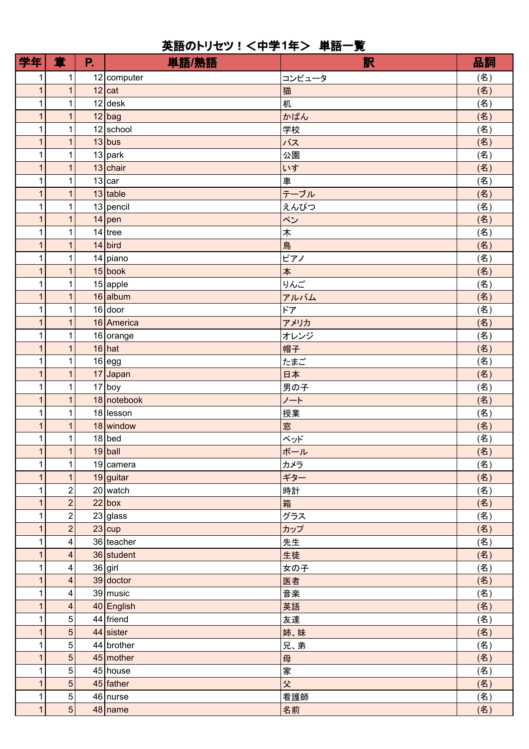## 英語のトリセツ!<中学1年> 単語一覧

| 学年                | 章                             | P. | 単語/熟語                   | 訳       | 品詞         |
|-------------------|-------------------------------|----|-------------------------|---------|------------|
| 1                 | 1                             |    | $12$ computer           | コンピュータ  | (名)        |
| $\mathbf{1}$      | $\overline{1}$                |    | $12$ cat                | 猫       | (名)        |
| 1                 | $\mathbf{1}$                  |    | $12$ desk               | 机       | (名)        |
| $\mathbf 1$       | $\mathbf{1}$                  |    | $12$ bag                | かばん     | (名)        |
| 1                 | $\mathbf{1}$                  |    | $12$ school             | 学校      | (名)        |
| $\mathbf{1}$      | $\mathbf{1}$                  |    | $13$ bus                | バス      | (名)        |
| 1                 | $\mathbf{1}$                  |    | $13$ park               | 公園      | (名)        |
| 1                 | $\overline{1}$                |    | $13$ chair              | いす      | (名)        |
| 1                 | $\mathbf{1}$                  |    | 13 car                  | 車       | (名)        |
| 1                 | $\mathbf{1}$                  |    | $13$ table              | テーブル    | (名)        |
| 1                 | $\mathbf{1}$                  |    | $13$ pencil             | えんぴつ    | (名)        |
| 1                 | $\mathbf{1}$                  |    | $14$ pen                | ペン      | (名)        |
| 1                 | $\mathbf{1}$                  |    | $14$ tree               | 木       | (名)        |
| $\mathbf{1}$      | $\overline{1}$                |    | $14$ bird               | 鳥       | (名)        |
| 1                 | $\mathbf{1}$                  |    | $14$ piano              | ピアノ     | (名)        |
| $\mathbf 1$       | $\mathbf{1}$                  |    | 15 book                 | 本       | (名)        |
| 1                 | $\mathbf{1}$                  |    | $15$ apple              | りんご     | (名)        |
| $\mathbf{1}$      | $\mathbf{1}$                  |    | $16$ album              | アルバム    | (名)        |
| 1                 | $\mathbf 1$                   |    | $16$ door               | ドア      | (名)        |
| $\mathbf{1}$      | $\overline{1}$                |    | $16$ America            | アメリカ    | (名)        |
| 1                 | $\mathbf{1}$                  |    | 16 orange               | オレンジ    | (名)        |
| 1                 | $\mathbf{1}$                  |    | $16$ hat                | 帽子      | (名)        |
| 1                 | $\mathbf{1}$                  |    | $16 \, \text{egg}$      | たまご     | (名)        |
| 1                 | $\mathbf{1}$                  |    | $17$ Japan              | 日本      | (名)        |
| 1                 | $\mathbf 1$<br>$\overline{1}$ |    | $17$ boy<br>18 notebook | 男の子     | (名)        |
| $\mathbf{1}$<br>1 | $\mathbf{1}$                  |    | $18$  lesson            | ノート     | (名)        |
| 1                 | $\mathbf{1}$                  |    | $18$ window             | 授業<br>窓 | (名)<br>(名) |
| 1                 | $\mathbf{1}$                  |    | $18$ bed                | ベッド     | (名)        |
| 1                 | 1                             |    | $19$ ball               | ボール     | (名)        |
| 1                 | 1                             |    | $19$  camera            | カメラ     | (名)        |
| 1                 | $\mathbf{1}$                  |    | $19$ guitar             | ギター     | (名)        |
| 1                 | $\overline{c}$                |    | $20$ watch              | 時計      | (名)        |
| 1                 | $\mathbf 2$                   |    | 22 box                  | 箱       | (名)        |
| 1                 | $\overline{\mathbf{c}}$       |    | $23$ glass              | グラス     | (名)        |
| 1                 | $\overline{\mathbf{2}}$       |    | $23$ cup                | カップ     | (名)        |
| 1                 | $\overline{\mathbf{4}}$       |    | 36 teacher              | 先生      | (名)        |
| $\mathbf{1}$      | 4                             |    | $36$ student            | 生徒      | (名)        |
| 1                 | 4                             |    | $36$ girl               | 女の子     | (名)        |
| 1                 | $\overline{\mathbf{4}}$       |    | $39$ doctor             | 医者      | (名)        |
| 1                 | $\overline{\mathbf{4}}$       |    | $39$ music              | 音楽      | (名)        |
| 1                 | $\overline{4}$                |    | $40$ English            | 英語      | (名)        |
| 1                 | 5                             |    | $44$ friend             | 友達      | (名)        |
| 1                 | 5                             |    | $44$ sister             | 姉、妹     | (名)        |
| 1                 | 5                             |    | $44$ brother            | 兄、弟     | (名)        |
| 1                 | $\sqrt{5}$                    |    | 45 mother               | 母       | (名)        |
| 1                 | 5                             |    | $45$ house              | 家       | (名)        |
| 1                 | 5                             |    | $45$ father             | 父       | (名)        |
| 1                 | $\,$ 5 $\,$                   |    | $46$ nurse              | 看護師     | (名)        |
| $\overline{1}$    | 5 <sup>1</sup>                |    | $48$ name               | 名前      | (名)        |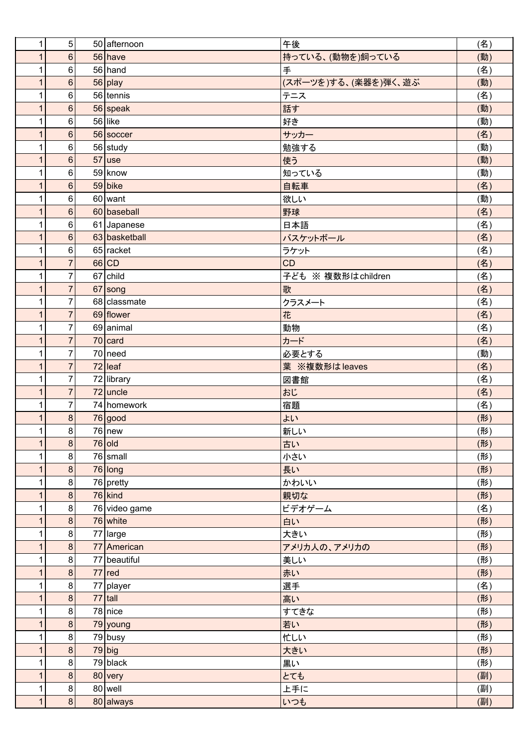| 1              | 5               | 50 afternoon           | 午後                   | (名) |
|----------------|-----------------|------------------------|----------------------|-----|
| $\mathbf{1}$   | $6\phantom{1}6$ | $56$ have              | 持っている、(動物を)飼っている     | (動) |
| 1              | 6               | $56$ hand              | 手                    | (名) |
| $\overline{1}$ | $\, 6$          | $56$ play              | (スポーツを)する、(楽器を)弾く、遊ぶ | (動) |
| $\mathbf{1}$   | 6               | $56$ tennis            | テニス                  | (名) |
| $\mathbf{1}$   | $\,6$           | $56$ speak             | 話す                   | (動) |
| 1              | 6               | $56$ like              | 好き                   | (動) |
| $\mathbf{1}$   | $\,6$           | 56 soccer              | サッカー                 | (名) |
| 1              | 6               | $56$ study             | 勉強する                 | (動) |
| $\overline{1}$ | $\, 6$          | $57$ use               | 使う                   | (動) |
| $\mathbf{1}$   | $\,6$           | $59$ know              | 知っている                | (動) |
| $\mathbf{1}$   | $\,6$           | $59$ bike              | 自転車                  | (名) |
| 1              | $\,6\,$         | $60$ want              | 欲しい                  | (動) |
| $\overline{1}$ | $6\phantom{a}$  | 60 baseball            | 野球                   | (名) |
| 1              | $\,6$           | 61 Japanese            | 日本語                  | (名) |
| $\overline{1}$ | $\,6$           | 63 basketball          | バスケットボール             | (名) |
| $\mathbf{1}$   | $\,6$           | $65$ racket            | ラケット                 | (名) |
| $\mathbf{1}$   | $\overline{7}$  | 66 CD                  | <b>CD</b>            | (名) |
| 1              | $\overline{7}$  | $67$ child             | 子ども ※ 複数形はchildren   | (名) |
| $\overline{1}$ | $\overline{7}$  | 67 song                | 歌                    | (名) |
| 1              | $\overline{7}$  | 68 classmate           | クラスメート               | (名) |
| $\overline{1}$ | $\overline{7}$  | 69 flower              | 花                    | (名) |
| $\mathbf{1}$   | $\overline{7}$  | 69 animal              | 動物                   | (名) |
| $\mathbf{1}$   | $\overline{7}$  | $70$ card              | カード                  | (名) |
| $\mathbf{1}$   | $\overline{7}$  | $70$ need              | 必要とする                | (動) |
| $\overline{1}$ | $\overline{7}$  | $72$ leaf              | 葉 ※複数形は leaves       | (名) |
| 1              | $\overline{7}$  | 72 library             | 図書館                  | (名) |
| $\overline{1}$ | $\overline{7}$  | $72$ uncle             | おじ                   | (名) |
| $\mathbf{1}$   | $\overline{7}$  | 74 homework            | 宿題                   | (名) |
| 1              | $\bf 8$         | 76 good                | よい                   | (形) |
| $\mathbf{1}$   | $\bf 8$         | $76$ new               | 新しい                  | (形) |
| $\mathbf{1}$   | 8               | $76$ old               | 古い                   | (形) |
| 1              | 8               | $76$ small             | 小さい                  | (形) |
| $\overline{1}$ | $\bf 8$         | $76$ long              | 長い                   | (形) |
| $\mathbf{1}$   | 8               | $76$ pretty            | かわいい                 | (形) |
| $\mathbf{1}$   | 8               | $76$ kind              | 親切な                  | (形) |
| 1              | $\bf 8$         | 76 video game          | ビデオゲーム               | (名) |
| $\overline{1}$ | $\bf8$          | $76$ white             | 白い                   | (形) |
| 1              | 8               | 77 large               | 大きい                  | (形) |
| $\overline{1}$ | $\bf 8$         | 77 American            | アメリカ人の、アメリカの         | (形) |
| $\mathbf{1}$   | $\bf 8$         | 77 beautiful           | 美しい                  | (形) |
| $\mathbf{1}$   | $\bf 8$         | $77$ red               | 赤い                   | (形) |
| 1              | $\bf 8$         | $\overline{77}$ player | 選手                   | (名) |
| $\mathbf{1}$   | 8               | $77$ tall              | 高い                   | (形) |
| 1              | 8               | 78 nice                | すてきな                 | (形) |
| $\overline{1}$ | $\bf 8$         | $79$ young             | 若い                   | (形) |
| $\mathbf{1}$   | 8               | $79$ busy              | 忙しい                  | (形) |
| $\mathbf{1}$   | $\bf 8$         | $79$ big               | 大きい                  | (形) |
| 1              | $\bf 8$         | $79$ black             | 黒い                   | (形) |
| $\overline{1}$ | 8               | 80 very                | とても                  | (副) |
| 1              | $\bf 8$         | $80$ well              | 上手に                  | (副) |
| $\overline{1}$ | $\bf 8$         | 80 always              | いつも                  | (副) |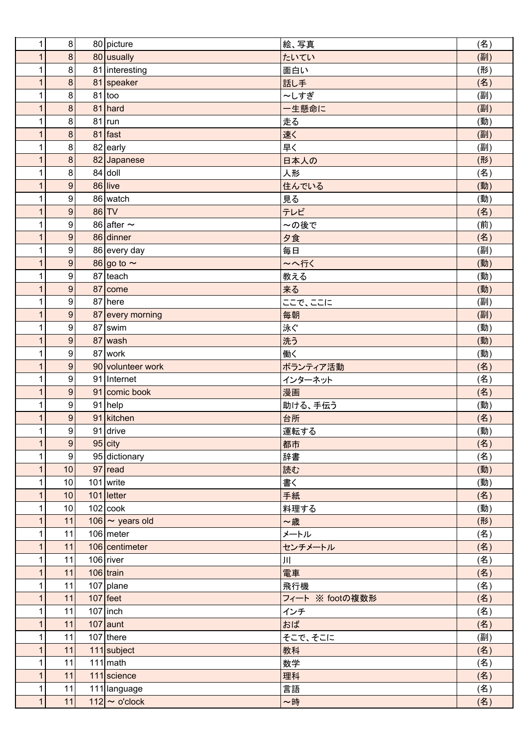| 1                 | 8                | 80 picture                          | 絵、写真                   | (名)        |
|-------------------|------------------|-------------------------------------|------------------------|------------|
| 1                 | 8                | 80 usually                          | たいてい                   | (副)        |
| 1                 | $\bf 8$          | 81 interesting                      | 面白い                    | (形)        |
| $\mathbf{1}$      | $\overline{8}$   | 81 speaker                          | 話し手                    | (名)        |
| 1                 | $\bf 8$          | $81 $ too                           | ~しすぎ                   | (副)        |
| 1                 | $\bf 8$          | $81$ hard                           | 一生懸命に                  | (副)        |
| 1                 | 8                | $81$ run                            | 走る                     | (動)        |
| $\mathbf{1}$      | $\bf 8$          | $81$ fast                           | 速く                     | (副)        |
| 1                 | $\bf 8$          | 82 early                            | 早く                     | (副)        |
| $\overline{1}$    | 8                | 82 Japanese                         | 日本人の                   | (形)        |
| 1                 | $\bf 8$          | $84$ doll                           | 人形                     | (名)        |
| $\mathbf{1}$      | $\boldsymbol{9}$ | $86$ live                           | 住んでいる                  | (動)        |
| 1                 | 9                | 86 watch                            | 見る                     | (動)        |
| 1                 | $\boldsymbol{9}$ | $86$ TV                             | テレビ                    | (名)        |
| 1                 | 9                | 86 after $\sim$                     | ~の後で                   | (前)        |
| $\mathbf{1}$      | $\overline{9}$   | 86 dinner                           | 夕食                     | (名)        |
| 1                 | $\boldsymbol{9}$ | 86 every day                        | 毎日                     | (副)        |
| 1                 | $\boldsymbol{9}$ | 86 go to $\sim$                     | 〜へ行く                   | (動)        |
| 1                 | 9                | $87$ teach                          | 教える                    | (動)        |
| $\mathbf{1}$      | 9                | $87$ come                           | 来る                     | (動)        |
| 1                 | 9                | $87$ here                           | ここで、ここに                | (副)        |
| $\overline{1}$    | 9                | 87 every morning                    | 毎朝                     | (副)        |
| 1                 | $\boldsymbol{9}$ | $87$ swim                           | 泳ぐ                     | (動)        |
| $\mathbf{1}$      | 9                | $87$ wash                           | 洗う                     | (動)        |
| 1                 | 9                | $87$ work                           | 働く                     | (動)        |
| 1                 | $\boldsymbol{9}$ | 90 volunteer work                   | ボランティア活動               | (名)        |
| 1                 | 9                | 91 Internet                         | インターネット                | (名)        |
| $\overline{1}$    | $\overline{9}$   | 91 comic book                       | 漫画                     | (名)        |
| 1                 | $\boldsymbol{9}$ | $91$ help                           | 助ける、手伝う                | (動)        |
| 1                 | $\boldsymbol{9}$ | 91 kitchen                          | 台所                     | (名)        |
| 1                 | $\overline{9}$   | $91$ drive                          | 運転する                   | (動)        |
| 1                 | $\boldsymbol{9}$ | $95$ city                           | 都市                     | (名)        |
| 1                 | 9                | 95 dictionary                       | 辞書                     | (名)        |
| $\overline{1}$    | 10               | $97$ read                           | 読む                     | (動)        |
| 1                 | 10               | $101$ write                         | 書く                     | (動)        |
| $\mathbf{1}$      | 10               | $101$ letter                        | 手紙                     | (名)        |
| 1                 | 10               | $102$ cook                          | 料理する                   | (動)        |
| $\mathbf{1}$      | 11               | 106 $\sim$ years old<br>$106$ meter | ~歳                     | (形)        |
| 1<br>$\mathbf{1}$ | 11<br>11         | 106 centimeter                      | メートル                   | (名)        |
|                   |                  | $106$ river                         | センチメートル                | (名)        |
| 1<br>1            | 11<br>11         | $106$ train                         | Щ                      | (名)        |
| 1                 | 11               | $107$ plane                         | 電車                     | (名)        |
| $\mathbf{1}$      | 11               | $107$ feet                          | 飛行機<br>フィート ※ footの複数形 | (名)        |
| 1                 | 11               | $107$ inch                          |                        | (名)<br>(名) |
| $\overline{1}$    | 11               | $107$ aunt                          | インチ<br>おば              | (名)        |
| 1                 | 11               | $107$ there                         | そこで、そこに                | (副)        |
| $\mathbf{1}$      | 11               | $111$ subject                       | 教科                     | (名)        |
| 1                 | 11               | $111$ math                          | 数学                     | (名)        |
| 1                 | 11               | $111$ science                       | 理科                     | (名)        |
| $\mathbf{1}$      | 11               | 111 language                        | 言語                     | (名)        |
| $\overline{1}$    | 11               | $112$ ~ o'clock                     | ~時                     | (名)        |
|                   |                  |                                     |                        |            |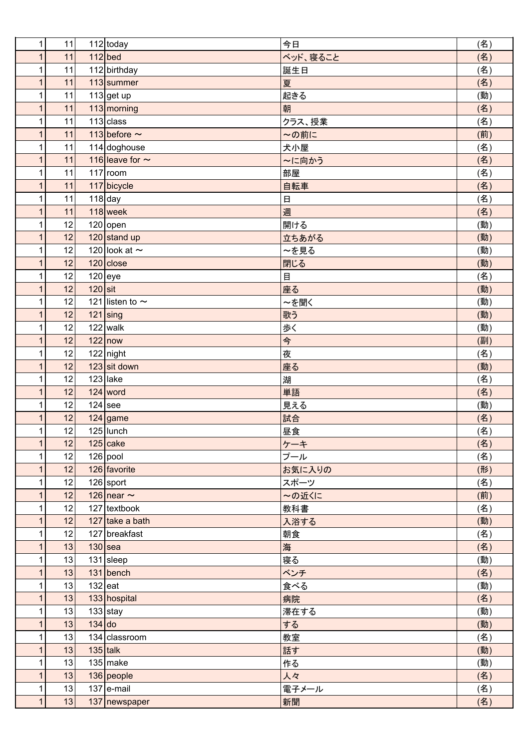|              | 11<br>1              |           | $112 $ today         | 今日                | (名) |
|--------------|----------------------|-----------|----------------------|-------------------|-----|
|              | 11<br>1              |           | $112$ bed            | ベッド、寝ること          | (名) |
|              | 11<br>1              |           | $112$ birthday       | 誕生日               | (名) |
|              | 11<br>1              |           | $113$ summer         | 夏                 | (名) |
|              | 11<br>1              |           | $113$ get up         | 起きる               | (動) |
|              | 11<br>1              |           | 113 morning          | 朝                 | (名) |
|              | 11<br>1              |           | $113$ class          | クラス、授業            | (名) |
|              | 11<br>1              |           | 113 before $\sim$    | ~の前に              | (前) |
| 1            | 11                   |           | $114$ doghouse       | 犬小屋               | (名) |
|              | 11<br>$\overline{1}$ |           | 116 leave for $\sim$ | ~に向かう             | (名) |
| 1            | 11                   |           | $117$ room           | 部屋                | (名) |
|              | 11<br>$\mathbf{1}$   |           | 117 bicycle          | 自転車               | (名) |
|              | 11<br>1              |           | $118$ day            | $\Box$            | (名) |
|              | 11<br>1              |           | $118$ week           | 週                 | (名) |
|              | 1<br>12              |           | $120$ open           | 開ける               | (動) |
|              | 12<br>1              |           | 120 stand up         | 立ちあがる             | (動) |
|              | 12<br>1              |           | 120 look at $\sim$   | ~を見る              | (動) |
|              | 12<br>1              |           | $120$ close          | 閉じる               | (動) |
|              | 12<br>1              |           | $120$ eye            | 目                 | (名) |
|              | 12<br>1              | $120$ sit |                      | 座る                | (動) |
| 1            | 12                   |           | 121 listen to $\sim$ | ~を聞く              | (動) |
|              | 12<br>$\overline{1}$ |           | $121$ sing           | 歌う                | (動) |
| 1            | 12                   |           | $122$ walk           | 歩く                | (動) |
|              | 12<br>$\mathbf{1}$   |           | $122$ now            | $\Leftrightarrow$ | (副) |
|              | 12<br>1              |           | $122$ night          | 夜                 | (名) |
|              | 12<br>1              |           | $123$ sit down       | 座る                | (動) |
|              | 1<br>12              |           | $123$ lake           | 湖                 | (名) |
|              | 12<br>1              |           | $124$ word           | 単語                | (名) |
|              | 12<br>1              |           | $124$ see            | 見える               | (動) |
|              | 12<br>1              |           | $124$ game           | 試合                | (名) |
|              | 12<br>$\mathbf{1}$   |           | $125$ Uunch          | 昼食                | (名) |
|              | 12<br>1              |           | $125$ cake           | ケーキ               | (名) |
| 1            | 12                   |           | 126 pool             | プール               | (名) |
|              | 12<br>1              |           | 126 favorite         | お気に入りの            | (形) |
| 1            | 12                   |           | $126$ sport          | スポーツ              | (名) |
|              | 12<br>1              |           | 126 near $\sim$      | ~の近くに             | (前) |
|              | 12<br>1              |           | $127$ textbook       | 教科書               | (名) |
| $\mathbf{1}$ | 12                   |           | 127 take a bath      | 入浴する              | (動) |
|              | 1<br>12              |           | 127 breakfast        | 朝食                | (名) |
|              | 13<br>1              |           | $130$ sea            | 海                 | (名) |
|              | 13<br>1              |           | $131$ sleep          | 寝る                | (動) |
|              | 13<br>1              |           | $131$ bench          | ベンチ               | (名) |
|              | 13<br>1              | $132$ eat |                      | 食べる               | (動) |
|              | 13<br>1              |           | 133 hospital         | 病院                | (名) |
| 1            | 13                   |           | $133$ stay           | 滞在する              | (動) |
|              | 13<br>$\mathbf{1}$   | $134$ do  |                      | する                | (動) |
| 1            | 13                   |           | $134$ classroom      | 教室                | (名) |
|              | 13<br>1              |           | $135$ talk           | 話す                | (動) |
|              | 13<br>1              |           | $135$ make           | 作る                | (動) |
| $\mathbf{1}$ | 13                   |           | $136$ people         | 人々                | (名) |
|              | 1<br>13              |           | $137$ e-mail         | 電子メール             | (名) |
|              | 13<br>$\mathbf{1}$   |           | $137$ newspaper      | 新聞                | (名) |